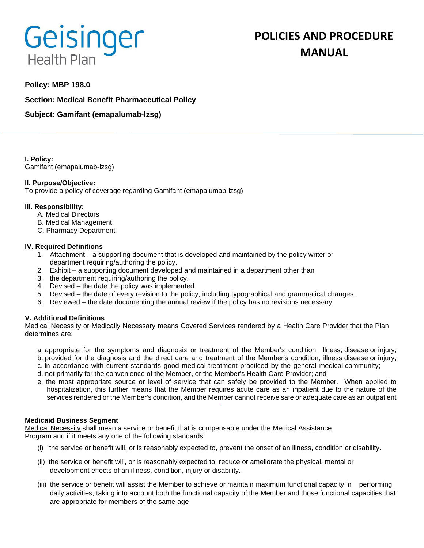# Geisinger **Health Plan**

# **POLICIES AND PROCEDURE MANUAL**

# **Policy: MBP 198.0**

**Section: Medical Benefit Pharmaceutical Policy**

**Subject: Gamifant (emapalumab-lzsg)**

**I. Policy:** Gamifant (emapalumab-lzsg)

# **II. Purpose/Objective:**

To provide a policy of coverage regarding Gamifant (emapalumab-lzsg)

# **III. Responsibility:**

- A. Medical Directors
- B. Medical Management
- C. Pharmacy Department

# **IV. Required Definitions**

- 1. Attachment a supporting document that is developed and maintained by the policy writer or department requiring/authoring the policy.
- 2. Exhibit a supporting document developed and maintained in a department other than
- 3. the department requiring/authoring the policy.
- 4. Devised the date the policy was implemented.
- 5. Revised the date of every revision to the policy, including typographical and grammatical changes.
- 6. Reviewed the date documenting the annual review if the policy has no revisions necessary.

# **V. Additional Definitions**

Medical Necessity or Medically Necessary means Covered Services rendered by a Health Care Provider that the Plan determines are:

- a. appropriate for the symptoms and diagnosis or treatment of the Member's condition, illness, disease or injury; b. provided for the diagnosis and the direct care and treatment of the Member's condition, illness disease or injury;
- c. in accordance with current standards good medical treatment practiced by the general medical community;
- d. not primarily for the convenience of the Member, or the Member's Health Care Provider; and
- e. the most appropriate source or level of service that can safely be provided to the Member. When applied to hospitalization, this further means that the Member requires acute care as an inpatient due to the nature of the services rendered or the Member's condition, and the Member cannot receive safe or adequate care as an outpatient

#### **Medicaid Business Segment**

Medical Necessity shall mean a service or benefit that is compensable under the Medical Assistance Program and if it meets any one of the following standards:

- (i) the service or benefit will, or is reasonably expected to, prevent the onset of an illness, condition or disability.
- (ii) the service or benefit will, or is reasonably expected to, reduce or ameliorate the physical, mental or development effects of an illness, condition, injury or disability.
- (iii) the service or benefit will assist the Member to achieve or maintain maximum functional capacity in performing daily activities, taking into account both the functional capacity of the Member and those functional capacities that are appropriate for members of the same age